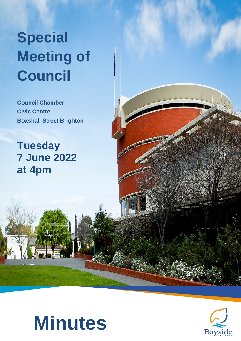# **Special Meeting of Council**

**Council Chamber Civic Centre Boxshall Street Brighton**

**Tuesday 7 June 2022 at 4pm**



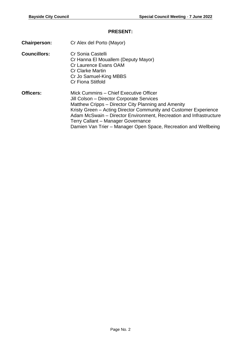#### **PRESENT:**

- **Chairperson:** Cr Alex del Porto (Mayor)
- **Councillors:** Cr Sonia Castelli Cr Hanna El Mouallem (Deputy Mayor) Cr Laurence Evans OAM Cr Clarke Martin Cr Jo Samuel-King MBBS Cr Fiona Stitfold
- **Officers:** Mick Cummins Chief Executive Officer Jill Colson – Director Corporate Services Matthew Cripps – Director City Planning and Amenity Kristy Green – Acting Director Community and Customer Experience Adam McSwain – Director Environment, Recreation and Infrastructure Terry Callant – Manager Governance Damien Van Trier – Manager Open Space, Recreation and Wellbeing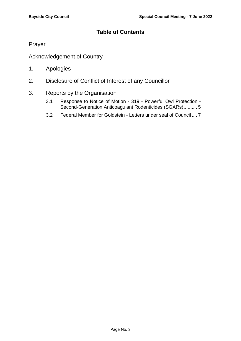# **Table of Contents**

[Prayer](#page-3-0)

[Acknowledgement of Country](#page-3-1)

- 1. [Apologies](#page-3-2)
- 2. [Disclosure of Conflict of Interest of any Councillor](#page-3-3)
- 3. [Reports by the Organisation](#page-4-0)
	- 3.1 [Response to Notice of Motion -](#page-4-1) 319 Powerful Owl Protection [Second-Generation Anticoagulant Rodenticides \(SGARs\)..........](#page-4-1) 5
	- 3.2 [Federal Member for Goldstein -](#page-6-0) Letters under seal of Council .... 7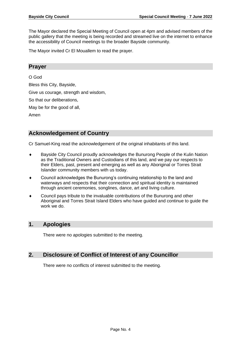The Mayor declared the Special Meeting of Council open at 4pm and advised members of the public gallery that the meeting is being recorded and streamed live on the internet to enhance the accessibility of Council meetings to the broader Bayside community.

The Mayor invited Cr El Mouallem to read the prayer.

## <span id="page-3-0"></span>**Prayer**

#### O God

Bless this City, Bayside, Give us courage, strength and wisdom, So that our deliberations, May be for the good of all, Amen

# <span id="page-3-1"></span>**Acknowledgement of Country**

Cr Samuel-King read the acknowledgement of the original inhabitants of this land.

- Bayside City Council proudly acknowledges the Bunurong People of the Kulin Nation as the Traditional Owners and Custodians of this land, and we pay our respects to their Elders, past, present and emerging as well as any Aboriginal or Torres Strait Islander community members with us today.
- Council acknowledges the Bunurong's continuing relationship to the land and waterways and respects that their connection and spiritual identity is maintained through ancient ceremonies, songlines, dance, art and living culture.
- Council pays tribute to the invaluable contributions of the Bunurong and other Aboriginal and Torres Strait Island Elders who have guided and continue to guide the work we do.

# <span id="page-3-2"></span>**1. Apologies**

There were no apologies submitted to the meeting.

# <span id="page-3-3"></span>**2. Disclosure of Conflict of Interest of any Councillor**

There were no conflicts of interest submitted to the meeting.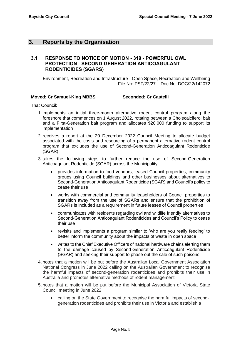# <span id="page-4-0"></span>**3. Reports by the Organisation**

### <span id="page-4-1"></span>**3.1 RESPONSE TO NOTICE OF MOTION - 319 - POWERFUL OWL PROTECTION - SECOND-GENERATION ANTICOAGULANT RODENTICIDES (SGARS)**

Environment, Recreation and Infrastructure - Open Space, Recreation and Wellbeing File No: PSF/22/27 – Doc No: DOC/22/142072

#### **Moved: Cr Samuel-King MBBS Seconded: Cr Castelli**

That Council:

- 1. implements an initial three-month alternative rodent control program along the foreshore that commences on 1 August 2022, rotating between a Cholecalciferol bait and a First-Generation bait program and allocates \$20,000 funding to support its implementation
- 2. receives a report at the 20 December 2022 Council Meeting to allocate budget associated with the costs and resourcing of a permanent alternative rodent control program that excludes the use of Second-Generation Anticoagulant Rodenticide (SGAR)
- 3. takes the following steps to further reduce the use of Second-Generation Anticoagulant Rodenticide (SGAR) across the Municipality:
	- provides information to food vendors, leased Council properties, community groups using Council buildings and other businesses about alternatives to Second-Generation Anticoagulant Rodenticide (SGAR) and Council's policy to cease their use
	- works with commercial and community leaseholders of Council properties to transition away from the use of SGARs and ensure that the prohibition of SGARs is included as a requirement in future leases of Council properties
	- communicates with residents regarding owl and wildlife friendly alternatives to Second-Generation Anticoagulant Rodenticides and Council's Policy to cease their use
	- revisits and implements a program similar to 'who are you really feeding' to better inform the community about the impacts of waste in open space
	- writes to the Chief Executive Officers of national hardware chains alerting them to the damage caused by Second-Generation Anticoagulant Rodenticide (SGAR) and seeking their support to phase out the sale of such poisons
- 4. notes that a motion will be put before the Australian Local Government Association National Congress in June 2022 calling on the Australian Government to recognise the harmful impacts of second-generation rodenticides and prohibits their use in Australia and promotes alternative methods of rodent management
- 5. notes that a motion will be put before the Municipal Association of Victoria State Council meeting in June 2022:
	- calling on the State Government to recognise the harmful impacts of secondgeneration rodenticides and prohibits their use in Victoria and establish a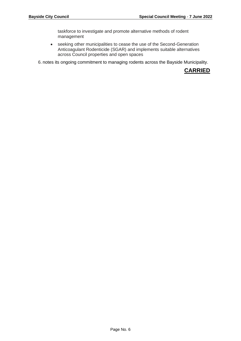taskforce to investigate and promote alternative methods of rodent management

• seeking other municipalities to cease the use of the Second-Generation Anticoagulant Rodenticide (SGAR) and implements suitable alternatives across Council properties and open spaces

6. notes its ongoing commitment to managing rodents across the Bayside Municipality.